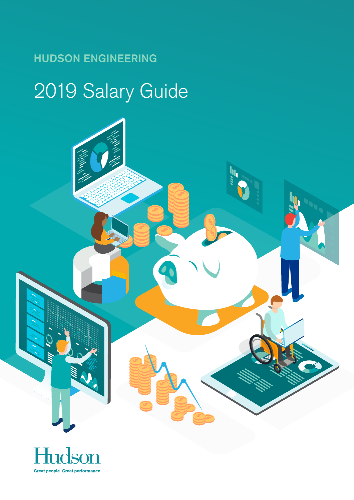# 2019 Salary Guide



55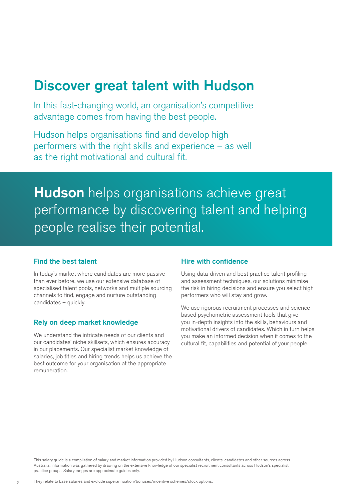## Discover great talent with Hudson

In this fast-changing world, an organisation's competitive advantage comes from having the best people.

Hudson helps organisations find and develop high performers with the right skills and experience – as well as the right motivational and cultural fit.

**Hudson** helps organisations achieve great performance by discovering talent and helping people realise their potential.

## Find the best talent

In today's market where candidates are more passive than ever before, we use our extensive database of specialised talent pools, networks and multiple sourcing channels to find, engage and nurture outstanding candidates – quickly.

## Rely on deep market knowledge

We understand the intricate needs of our clients and our candidates' niche skillsets, which ensures accuracy in our placements. Our specialist market knowledge of salaries, job titles and hiring trends helps us achieve the best outcome for your organisation at the appropriate remuneration.

### Hire with confidence

Using data-driven and best practice talent profiling and assessment techniques, our solutions minimise the risk in hiring decisions and ensure you select high performers who will stay and grow.

We use rigorous recruitment processes and sciencebased psychometric assessment tools that give you in-depth insights into the skills, behaviours and motivational drivers of candidates. Which in turn helps you make an informed decision when it comes to the cultural fit, capabilities and potential of your people.

This salary guide is a compilation of salary and market information provided by Hudson consultants, clients, candidates and other sources across Australia. Information was gathered by drawing on the extensive knowledge of our specialist recruitment consultants across Hudson's specialist practice groups. Salary ranges are approximate guides only.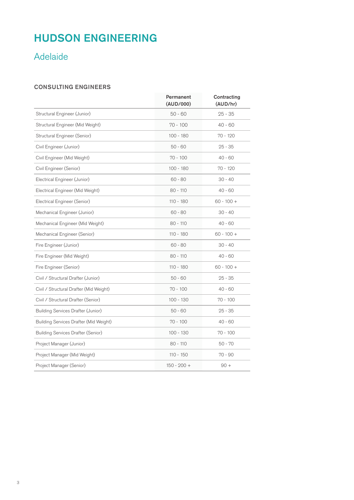## Adelaide

## CONSULTING ENGINEERS

|                                           | Permanent<br>(AUD/000) | Contracting<br>(AUD/hr) |
|-------------------------------------------|------------------------|-------------------------|
| Structural Engineer (Junior)              | $50 - 60$              | $25 - 35$               |
| Structural Engineer (Mid Weight)          | $70 - 100$             | $40 - 60$               |
| Structural Engineer (Senior)              | $100 - 180$            | $70 - 120$              |
| Civil Engineer (Junior)                   | $50 - 60$              | $25 - 35$               |
| Civil Engineer (Mid Weight)               | $70 - 100$             | $40 - 60$               |
| Civil Engineer (Senior)                   | $100 - 180$            | 70 - 120                |
| Electrical Engineer (Junior)              | $60 - 80$              | $30 - 40$               |
| Electrical Engineer (Mid Weight)          | $80 - 110$             | $40 - 60$               |
| Electrical Engineer (Senior)              | $110 - 180$            | $60 - 100 +$            |
| Mechanical Engineer (Junior)              | $60 - 80$              | $30 - 40$               |
| Mechanical Engineer (Mid Weight)          | $80 - 110$             | $40 - 60$               |
| Mechanical Engineer (Senior)              | $110 - 180$            | $60 - 100 +$            |
| Fire Engineer (Junior)                    | $60 - 80$              | $30 - 40$               |
| Fire Engineer (Mid Weight)                | $80 - 110$             | $40 - 60$               |
| Fire Engineer (Senior)                    | $110 - 180$            | $60 - 100 +$            |
| Civil / Structural Drafter (Junior)       | $50 - 60$              | $25 - 35$               |
| Civil / Structural Drafter (Mid Weight)   | $70 - 100$             | $40 - 60$               |
| Civil / Structural Drafter (Senior)       | $100 - 130$            | $70 - 100$              |
| <b>Building Services Drafter (Junior)</b> | $50 - 60$              | $25 - 35$               |
| Building Services Drafter (Mid Weight)    | $70 - 100$             | $40 - 60$               |
| <b>Building Services Drafter (Senior)</b> | $100 - 130$            | $70 - 100$              |
| Project Manager (Junior)                  | $80 - 110$             | $50 - 70$               |
| Project Manager (Mid Weight)              | $110 - 150$            | $70 - 90$               |
| Project Manager (Senior)                  | $150 - 200 +$          | $90 +$                  |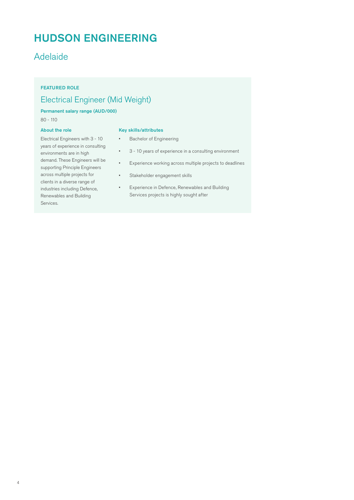## Adelaide

## FEATURED ROLE

## Electrical Engineer (Mid Weight)

## Permanent salary range (AUD/000)

80 - 110

#### About the role

#### Key skills/attributes

- Electrical Engineers with 3 10 years of experience in consulting environments are in high demand. These Engineers will be supporting Principle Engineers across multiple projects for clients in a diverse range of industries including Defence, Renewables and Building Services.
- Bachelor of Engineering
- 3 10 years of experience in a consulting environment
- Experience working across multiple projects to deadlines
- Stakeholder engagement skills
- Experience in Defence, Renewables and Building Services projects is highly sought after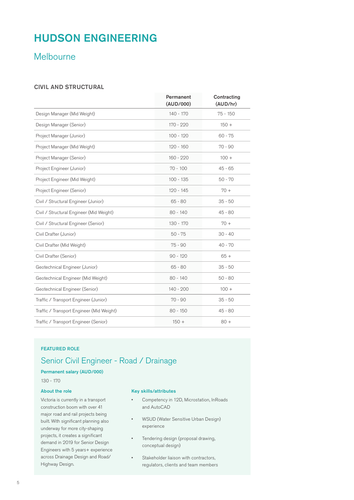## Melbourne

### CIVIL AND STRUCTURAL

|                                           | Permanent<br>(AUD/000) | Contracting<br>(AUD/hr) |
|-------------------------------------------|------------------------|-------------------------|
| Design Manager (Mid Weight)               | $140 - 170$            | $75 - 150$              |
| Design Manager (Senior)                   | 170 - 220              | $150 +$                 |
| Project Manager (Junior)                  | $100 - 120$            | $60 - 75$               |
| Project Manager (Mid Weight)              | $120 - 160$            | $70 - 90$               |
| Project Manager (Senior)                  | $160 - 220$            | $100 +$                 |
| Project Engineer (Junior)                 | $70 - 100$             | $45 - 65$               |
| Project Engineer (Mid Weight)             | $100 - 135$            | $50 - 70$               |
| Project Engineer (Senior)                 | $120 - 145$            | $70 +$                  |
| Civil / Structural Engineer (Junior)      | $65 - 80$              | $35 - 50$               |
| Civil / Structural Engineer (Mid Weight)  | $80 - 140$             | $45 - 80$               |
| Civil / Structural Engineer (Senior)      | 130 - 170              | $70 +$                  |
| Civil Drafter (Junior)                    | $50 - 75$              | $30 - 40$               |
| Civil Drafter (Mid Weight)                | $75 - 90$              | $40 - 70$               |
| Civil Drafter (Senior)                    | $90 - 120$             | $65 +$                  |
| Geotechnical Engineer (Junior)            | $65 - 80$              | $35 - 50$               |
| Geotechnical Engineer (Mid Weight)        | $80 - 140$             | $50 - 80$               |
| Geotechnical Engineer (Senior)            | $140 - 200$            | $100 +$                 |
| Traffic / Transport Engineer (Junior)     | $70 - 90$              | $35 - 50$               |
| Traffic / Transport Engineer (Mid Weight) | $80 - 150$             | $45 - 80$               |
| Traffic / Transport Engineer (Senior)     | $150 +$                | $80 +$                  |

#### FEATURED ROLE

## Senior Civil Engineer - Road / Drainage

#### Permanent salary (AUD/000)

130 - 170

#### About the role

Victoria is currently in a transport construction boom with over 41 major road and rail projects being built. With significant planning also underway for more city-shaping projects, it creates a significant demand in 2019 for Senior Design Engineers with 5 years+ experience across Drainage Design and Road/ Highway Design.

#### Key skills/attributes

- Competency in 12D, Microstation, InRoads and AutoCAD
- WSUD (Water Sensitive Urban Design) experience
- Tendering design (proposal drawing, conceptual design)
- Stakeholder liaison with contractors, regulators, clients and team members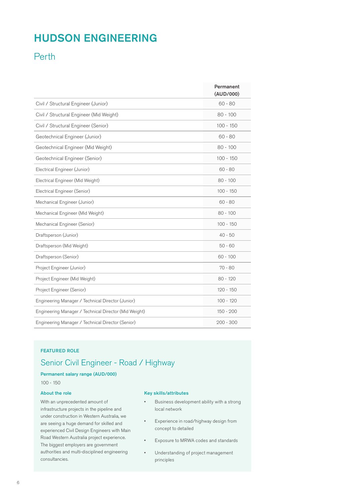## Perth

|                                                       | Permanent<br>(AUD/000) |
|-------------------------------------------------------|------------------------|
| Civil / Structural Engineer (Junior)                  | $60 - 80$              |
| Civil / Structural Engineer (Mid Weight)              | $80 - 100$             |
| Civil / Structural Engineer (Senior)                  | $100 - 150$            |
| Geotechnical Engineer (Junior)                        | $60 - 80$              |
| Geotechnical Engineer (Mid Weight)                    | $80 - 100$             |
| Geotechnical Engineer (Senior)                        | $100 - 150$            |
| Electrical Engineer (Junior)                          | $60 - 80$              |
| Electrical Engineer (Mid Weight)                      | $80 - 100$             |
| Electrical Engineer (Senior)                          | $100 - 150$            |
| Mechanical Engineer (Junior)                          | $60 - 80$              |
| Mechanical Engineer (Mid Weight)                      | $80 - 100$             |
| Mechanical Engineer (Senior)                          | $100 - 150$            |
| Draftsperson (Junior)                                 | $40 - 50$              |
| Draftsperson (Mid Weight)                             | $50 - 60$              |
| Draftsperson (Senior)                                 | $60 - 100$             |
| Project Engineer (Junior)                             | $70 - 80$              |
| Project Engineer (Mid Weight)                         | $80 - 120$             |
| Project Engineer (Senior)                             | $120 - 150$            |
| Engineering Manager / Technical Director (Junior)     | $100 - 120$            |
| Engineering Manager / Technical Director (Mid Weight) | $150 - 200$            |
| Engineering Manager / Technical Director (Senior)     | $200 - 300$            |

### FEATURED ROLE

## Senior Civil Engineer - Road / Highway

### Permanent salary range (AUD/000)

100 - 150

## About the role

With an unprecedented amount of infrastructure projects in the pipeline and under construction in Western Australia, we are seeing a huge demand for skilled and experienced Civil Design Engineers with Main Road Western Australia project experience. The biggest employers are government authorities and multi-disciplined engineering consultancies.

#### Key skills/attributes

- Business development ability with a strong local network
- Experience in road/highway design from concept to detailed
- Exposure to MRWA codes and standards
- Understanding of project management principles